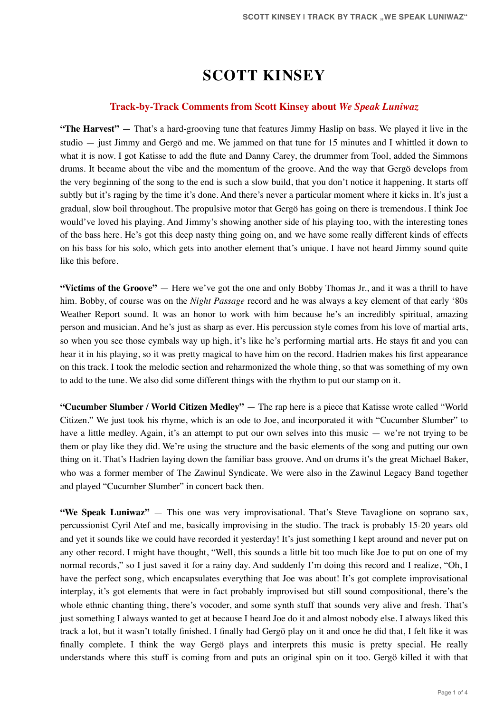# **SCOTT KINSEY**

#### **Track-by-Track Comments from Scott Kinsey about** *We Speak Luniwaz*

**"The Harvest"** — That's a hard-grooving tune that features Jimmy Haslip on bass. We played it live in the studio — just Jimmy and Gergö and me. We jammed on that tune for 15 minutes and I whittled it down to what it is now. I got Katisse to add the flute and Danny Carey, the drummer from Tool, added the Simmons drums. It became about the vibe and the momentum of the groove. And the way that Gergö develops from the very beginning of the song to the end is such a slow build, that you don't notice it happening. It starts off subtly but it's raging by the time it's done. And there's never a particular moment where it kicks in. It's just a gradual, slow boil throughout. The propulsive motor that Gergö has going on there is tremendous. I think Joe would've loved his playing. And Jimmy's showing another side of his playing too, with the interesting tones of the bass here. He's got this deep nasty thing going on, and we have some really different kinds of effects on his bass for his solo, which gets into another element that's unique. I have not heard Jimmy sound quite like this before.

**"Victims of the Groove"** — Here we've got the one and only Bobby Thomas Jr., and it was a thrill to have him. Bobby, of course was on the *Night Passage* record and he was always a key element of that early '80s Weather Report sound. It was an honor to work with him because he's an incredibly spiritual, amazing person and musician. And he's just as sharp as ever. His percussion style comes from his love of martial arts, so when you see those cymbals way up high, it's like he's performing martial arts. He stays fit and you can hear it in his playing, so it was pretty magical to have him on the record. Hadrien makes his first appearance on this track. I took the melodic section and reharmonized the whole thing, so that was something of my own to add to the tune. We also did some different things with the rhythm to put our stamp on it.

**"Cucumber Slumber / World Citizen Medley"** — The rap here is a piece that Katisse wrote called "World Citizen." We just took his rhyme, which is an ode to Joe, and incorporated it with "Cucumber Slumber" to have a little medley. Again, it's an attempt to put our own selves into this music — we're not trying to be them or play like they did. We're using the structure and the basic elements of the song and putting our own thing on it. That's Hadrien laying down the familiar bass groove. And on drums it's the great Michael Baker, who was a former member of The Zawinul Syndicate. We were also in the Zawinul Legacy Band together and played "Cucumber Slumber" in concert back then.

**"We Speak Luniwaz"** — This one was very improvisational. That's Steve Tavaglione on soprano sax, percussionist Cyril Atef and me, basically improvising in the studio. The track is probably 15-20 years old and yet it sounds like we could have recorded it yesterday! It's just something I kept around and never put on any other record. I might have thought, "Well, this sounds a little bit too much like Joe to put on one of my normal records," so I just saved it for a rainy day. And suddenly I'm doing this record and I realize, "Oh, I have the perfect song, which encapsulates everything that Joe was about! It's got complete improvisational interplay, it's got elements that were in fact probably improvised but still sound compositional, there's the whole ethnic chanting thing, there's vocoder, and some synth stuff that sounds very alive and fresh. That's just something I always wanted to get at because I heard Joe do it and almost nobody else. I always liked this track a lot, but it wasn't totally finished. I finally had Gergö play on it and once he did that, I felt like it was finally complete. I think the way Gergö plays and interprets this music is pretty special. He really understands where this stuff is coming from and puts an original spin on it too. Gergö killed it with that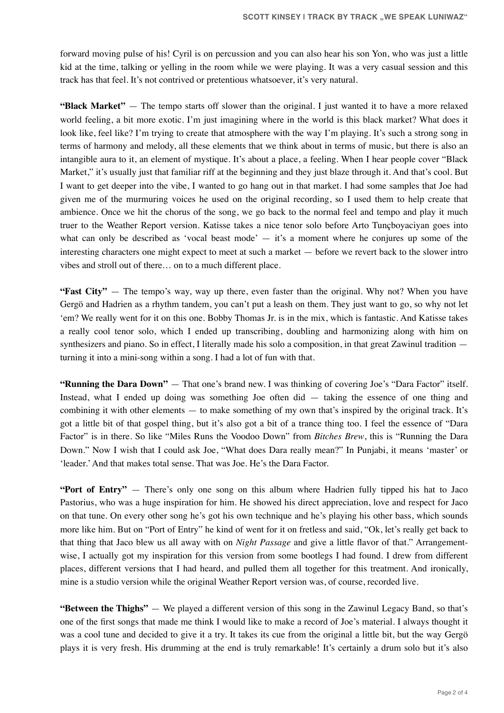forward moving pulse of his! Cyril is on percussion and you can also hear his son Yon, who was just a little kid at the time, talking or yelling in the room while we were playing. It was a very casual session and this track has that feel. It's not contrived or pretentious whatsoever, it's very natural.

**"Black Market"** — The tempo starts off slower than the original. I just wanted it to have a more relaxed world feeling, a bit more exotic. I'm just imagining where in the world is this black market? What does it look like, feel like? I'm trying to create that atmosphere with the way I'm playing. It's such a strong song in terms of harmony and melody, all these elements that we think about in terms of music, but there is also an intangible aura to it, an element of mystique. It's about a place, a feeling. When I hear people cover "Black Market," it's usually just that familiar riff at the beginning and they just blaze through it. And that's cool. But I want to get deeper into the vibe, I wanted to go hang out in that market. I had some samples that Joe had given me of the murmuring voices he used on the original recording, so I used them to help create that ambience. Once we hit the chorus of the song, we go back to the normal feel and tempo and play it much truer to the Weather Report version. Katisse takes a nice tenor solo before Arto Tunçboyaciyan goes into what can only be described as 'vocal beast mode' — it's a moment where he conjures up some of the interesting characters one might expect to meet at such a market — before we revert back to the slower intro vibes and stroll out of there… on to a much different place.

**"Fast City"** — The tempo's way, way up there, even faster than the original. Why not? When you have Gergö and Hadrien as a rhythm tandem, you can't put a leash on them. They just want to go, so why not let 'em? We really went for it on this one. Bobby Thomas Jr. is in the mix, which is fantastic. And Katisse takes a really cool tenor solo, which I ended up transcribing, doubling and harmonizing along with him on synthesizers and piano. So in effect, I literally made his solo a composition, in that great Zawinul tradition turning it into a mini-song within a song. I had a lot of fun with that.

**"Running the Dara Down"** — That one's brand new. I was thinking of covering Joe's "Dara Factor" itself. Instead, what I ended up doing was something Joe often did — taking the essence of one thing and combining it with other elements — to make something of my own that's inspired by the original track. It's got a little bit of that gospel thing, but it's also got a bit of a trance thing too. I feel the essence of "Dara Factor" is in there. So like "Miles Runs the Voodoo Down" from *Bitches Brew*, this is "Running the Dara Down." Now I wish that I could ask Joe, "What does Dara really mean?" In Punjabi, it means 'master' or 'leader.' And that makes total sense. That was Joe. He's the Dara Factor.

**"Port of Entry"** — There's only one song on this album where Hadrien fully tipped his hat to Jaco Pastorius, who was a huge inspiration for him. He showed his direct appreciation, love and respect for Jaco on that tune. On every other song he's got his own technique and he's playing his other bass, which sounds more like him. But on "Port of Entry" he kind of went for it on fretless and said, "Ok, let's really get back to that thing that Jaco blew us all away with on *Night Passage* and give a little flavor of that." Arrangementwise, I actually got my inspiration for this version from some bootlegs I had found. I drew from different places, different versions that I had heard, and pulled them all together for this treatment. And ironically, mine is a studio version while the original Weather Report version was, of course, recorded live.

**"Between the Thighs"** — We played a different version of this song in the Zawinul Legacy Band, so that's one of the first songs that made me think I would like to make a record of Joe's material. I always thought it was a cool tune and decided to give it a try. It takes its cue from the original a little bit, but the way Gergö plays it is very fresh. His drumming at the end is truly remarkable! It's certainly a drum solo but it's also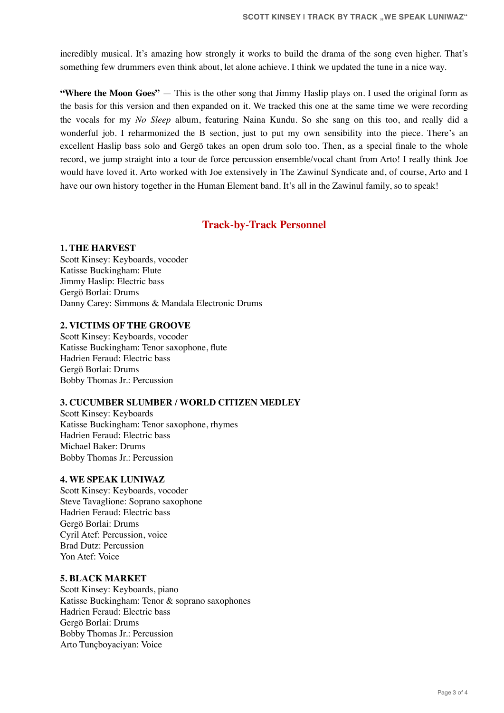incredibly musical. It's amazing how strongly it works to build the drama of the song even higher. That's something few drummers even think about, let alone achieve. I think we updated the tune in a nice way.

**"Where the Moon Goes"** — This is the other song that Jimmy Haslip plays on. I used the original form as the basis for this version and then expanded on it. We tracked this one at the same time we were recording the vocals for my *No Sleep* album, featuring Naina Kundu. So she sang on this too, and really did a wonderful job. I reharmonized the B section, just to put my own sensibility into the piece. There's an excellent Haslip bass solo and Gergö takes an open drum solo too. Then, as a special finale to the whole record, we jump straight into a tour de force percussion ensemble/vocal chant from Arto! I really think Joe would have loved it. Arto worked with Joe extensively in The Zawinul Syndicate and, of course, Arto and I have our own history together in the Human Element band. It's all in the Zawinul family, so to speak!

# **Track-by-Track Personnel**

### **1. THE HARVEST**

Scott Kinsey: Keyboards, vocoder Katisse Buckingham: Flute Jimmy Haslip: Electric bass Gergö Borlai: Drums Danny Carey: Simmons & Mandala Electronic Drums

# **2. VICTIMS OF THE GROOVE**

Scott Kinsey: Keyboards, vocoder Katisse Buckingham: Tenor saxophone, flute Hadrien Feraud: Electric bass Gergö Borlai: Drums Bobby Thomas Jr.: Percussion

#### **3. CUCUMBER SLUMBER / WORLD CITIZEN MEDLEY**

Scott Kinsey: Keyboards Katisse Buckingham: Tenor saxophone, rhymes Hadrien Feraud: Electric bass Michael Baker: Drums Bobby Thomas Jr.: Percussion

# **4. WE SPEAK LUNIWAZ**

Scott Kinsey: Keyboards, vocoder Steve Tavaglione: Soprano saxophone Hadrien Feraud: Electric bass Gergö Borlai: Drums Cyril Atef: Percussion, voice Brad Dutz: Percussion Yon Atef: Voice

### **5. BLACK MARKET**

Scott Kinsey: Keyboards, piano Katisse Buckingham: Tenor & soprano saxophones Hadrien Feraud: Electric bass Gergö Borlai: Drums Bobby Thomas Jr.: Percussion Arto Tunçboyaciyan: Voice